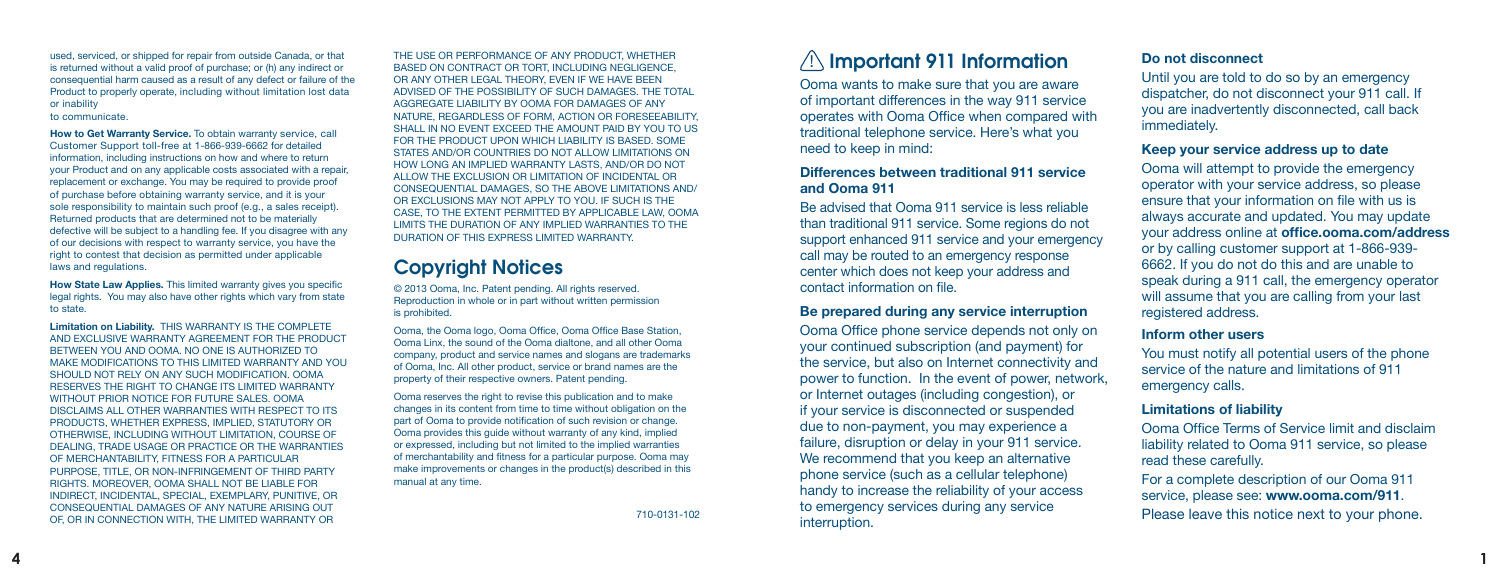used, serviced, or shipped for repair from outside Canada, or that is returned without a valid proof of purchase; or (h) any indirect or consequential harm caused as a result of any defect or failure of the Product to properly operate, including without limitation lost data or inability to communicate.

**How to Get Warranty Service.** To obtain warranty service, call Customer Support toll-free at 1-866-939-6662 for detailed information, including instructions on how and where to return your Product and on any applicable costs associated with a repair, replacement or exchange. You may be required to provide proof of purchase before obtaining warranty service, and it is your sole responsibility to maintain such proof (e.g., a sales receipt). Returned products that are determined not to be materially defective will be subject to a handling fee. If you disagree with any of our decisions with respect to warranty service, you have the right to contest that decision as permitted under applicable laws and regulations.

**How State Law Applies.** This limited warranty gives you specific legal rights. You may also have other rights which vary from state to state.

**Limitation on Liability.** THIS WARRANTY IS THE COMPLETE AND EXCLUSIVE WARRANTY AGREEMENT FOR THE PRODUCT BETWEEN YOU AND OOMA. NO ONE IS AUTHORIZED TO MAKE MODIFICATIONS TO THIS LIMITED WARRANTY AND YOU SHOULD NOT RELY ON ANY SUCH MODIFICATION. OOMA RESERVES THE RIGHT TO CHANGE ITS LIMITED WARRANTY WITHOUT PRIOR NOTICE FOR FUTURE SALES. OOMA DISCLAIMS ALL OTHER WARRANTIES WITH RESPECT TO ITS PRODUCTS, WHETHER EXPRESS, IMPLIED, STATUTORY OR OTHERWISE, INCLUDING WITHOUT LIMITATION, COURSE OF DEALING, TRADE USAGE OR PRACTICE OR THE WARRANTIES OF MERCHANTABILITY, FITNESS FOR A PARTICULAR PURPOSE, TITLE, OR NON-INFRINGEMENT OF THIRD PARTY RIGHTS. MOREOVER, OOMA SHALL NOT BE LIABLE FOR INDIRECT, INCIDENTAL, SPECIAL, EXEMPLARY, PUNITIVE, OR CONSEQUENTIAL DAMAGES OF ANY NATURE ARISING OUT OF, OR IN CONNECTION WITH, THE LIMITED WARRANTY OR

THE USE OR PERFORMANCE OF ANY PRODUCT, WHETHER BASED ON CONTRACT OR TORT, INCLUDING NEGLIGENCE, OR ANY OTHER LEGAL THEORY, EVEN IF WE HAVE BEEN ADVISED OF THE POSSIBILITY OF SUCH DAMAGES. THE TOTAL AGGREGATE LIABILITY BY OOMA FOR DAMAGES OF ANY NATURE, REGARDLESS OF FORM, ACTION OR FORESEEABILITY, SHALL IN NO EVENT EXCEED THE AMOUNT PAID BY YOU TO US. FOR THE PRODUCT UPON WHICH LIABILITY IS BASED. SOME STATES AND/OR COUNTRIES DO NOT ALLOW LIMITATIONS ON HOW LONG AN IMPLIED WARRANTY LASTS, AND/OR DO NOT ALLOW THE EXCLUSION OR LIMITATION OF INCIDENTAL OR CONSEQUENTIAL DAMAGES, SO THE ABOVE LIMITATIONS AND/ OR EXCLUSIONS MAY NOT APPLY TO YOU. IF SUCH IS THE CASE, TO THE EXTENT PERMITTED BY APPLICABLE LAW, OOMA LIMITS THE DURATION OF ANY IMPLIED WARRANTIES TO THE DURATION OF THIS EXPRESS LIMITED WARRANTY.

## Copyright Notices

© 2013 Ooma, Inc. Patent pending. All rights reserved. Reproduction in whole or in part without written permission is prohibited.

Ooma, the Ooma logo, Ooma Office, Ooma Office Base Station, Ooma Linx, the sound of the Ooma dialtone, and all other Ooma company, product and service names and slogans are trademarks of Ooma, Inc. All other product, service or brand names are the property of their respective owners. Patent pending.

Ooma reserves the right to revise this publication and to make changes in its content from time to time without obligation on the part of Ooma to provide notification of such revision or change. Ooma provides this guide without warranty of any kind, implied or expressed, including but not limited to the implied warranties of merchantability and fitness for a particular purpose. Ooma may make improvements or changes in the product(s) described in this manual at any time.

710-0131-102

# $\sqrt{1}$  Important 911 Information

Ooma wants to make sure that you are aware of important differences in the way 911 service operates with Ooma Office when compared with traditional telephone service. Here's what you need to keep in mind:

#### **Differences between traditional 911 service and Ooma 911**

Be advised that Ooma 911 service is less reliable than traditional 911 service. Some regions do not support enhanced 911 service and your emergency call may be routed to an emergency response center which does not keep your address and contact information on file.

#### **Be prepared during any service interruption**

Ooma Office phone service depends not only on your continued subscription (and payment) for the service, but also on Internet connectivity and power to function. In the event of power, network, or Internet outages (including congestion), or if your service is disconnected or suspended due to non-payment, you may experience a failure, disruption or delay in your 911 service. We recommend that you keep an alternative phone service (such as a cellular telephone) handy to increase the reliability of your access to emergency services during any service interruption.

#### **Do not disconnect**

Until you are told to do so by an emergency dispatcher, do not disconnect your 911 call. If you are inadvertently disconnected, call back immediately.

#### **Keep your service address up to date**

Ooma will attempt to provide the emergency operator with your service address, so please ensure that your information on file with us is always accurate and updated. You may update your address online at **office.ooma.com/address**  or by calling customer support at 1-866-939- 6662. If you do not do this and are unable to speak during a 911 call, the emergency operator will assume that you are calling from your last registered address.

#### **Inform other users**

You must notify all potential users of the phone service of the nature and limitations of 911 emergency calls.

#### **Limitations of liability**

Ooma Office Terms of Service limit and disclaim liability related to Ooma 911 service, so please read these carefully.

For a complete description of our Ooma 911 service, please see: **www.ooma.com/911**.

Please leave this notice next to your phone.